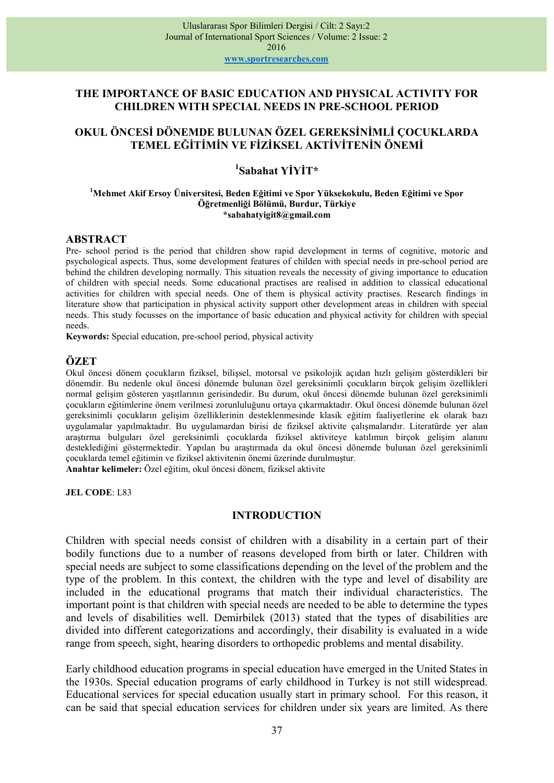## THE IMPORTANCE OF BASIC EDUCATION AND PHYSICAL ACTIVITY FOR CHILDREN WITH SPECIAL NEEDS IN PRE-SCHOOL PERIOD

# OKUL ÖNCESİ DÖNEMDE BULUNAN ÖZEL GEREKSİNİMLİ ÇOCUKLARDA TEMEL EĞİTİMİN VE FİZİKSEL AKTİVİTENİN ÖNEMİ

# <sup>1</sup>Sabahat YİYİT\*

#### <sup>1</sup>Mehmet Akif Ersoy Üniversitesi, Beden Eğitimi ve Spor Yüksekokulu, Beden Eğitimi ve Spor Öğretmenliği Bölümü, Burdur, Türkiye \*sabahatyigit8@gmail.com

#### ABSTRACT

Pre- school period is the period that children show rapid development in terms of cognitive, motoric and psychological aspects. Thus, some development features of childen with special needs in pre-school period are behind the children developing normally. This situation reveals the necessity of giving importance to education of children with special needs. Some educational practises are realised in addition to classical educational activities for children with special needs. One of them is physical activity practises. Research findings in literature show that participation in physical activity support other development areas in children with special needs. This study focusses on the importance of basic education and physical activity for children with special needs.

Keywords: Special education, pre-school period, physical activity

## **ÖZET**

Okul öncesi dönem çocukların fiziksel, bilişsel, motorsal ve psikolojik açıdan hızlı gelişim gösterdikleri bir dönemdir. Bu nedenle okul öncesi dönemde bulunan özel gereksinimli çocukların birçok gelişim özellikleri normal gelişim gösteren yaşıtlarının gerisindedir. Bu durum, okul öncesi dönemde bulunan özel gereksinimli çocukların eğitimlerine önem verilmesi zorunluluğunu ortaya çıkarmaktadır. Okul öncesi dönemde bulunan özel gereksinimli çocukların gelişim özelliklerinin desteklenmesinde klasik eğitim faaliyetlerine ek olarak bazı uygulamalar yapılmaktadır. Bu uygulamardan birisi de fiziksel aktivite çalışmalarıdır. Literatürde yer alan araştırma bulguları özel gereksinimli çocuklarda fiziksel aktiviteye katılımın birçok gelişim alanını desteklediğini göstermektedir. Yapılan bu araştırmada da okul öncesi dönemde bulunan özel gereksinimli çocuklarda temel eğitimin ve fiziksel aktivitenin önemi üzerinde durulmuştur. Anahtar kelimeler: Özel eğitim, okul öncesi dönem, fiziksel aktivite

JEL CODE: L83

#### **INTRODUCTION**

Children with special needs consist of children with a disability in a certain part of their bodily functions due to a number of reasons developed from birth or later. Children with special needs are subject to some classifications depending on the level of the problem and the type of the problem. In this context, the children with the type and level of disability are included in the educational programs that match their individual characteristics. The important point is that children with special needs are needed to be able to determine the types and levels of disabilities well. Demirbilek (2013) stated that the types of disabilities are divided into different categorizations and accordingly, their disability is evaluated in a wide range from speech, sight, hearing disorders to orthopedic problems and mental disability.

Early childhood education programs in special education have emerged in the United States in the 1930s. Special education programs of early childhood in Turkey is not still widespread. Educational services for special education usually start in primary school. For this reason, it can be said that special education services for children under six years are limited. As there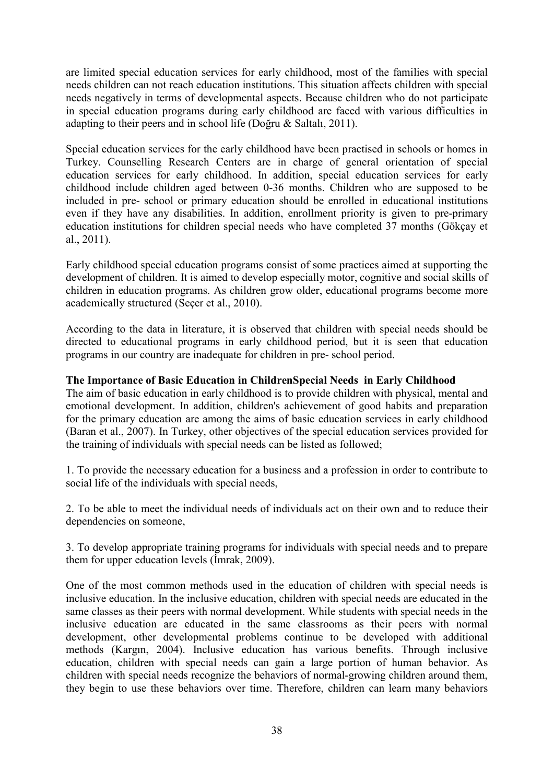are limited special education services for early childhood, most of the families with special needs children can not reach education institutions. This situation affects children with special needs negatively in terms of developmental aspects. Because children who do not participate in special education programs during early childhood are faced with various difficulties in adapting to their peers and in school life (Doğru & Saltalı, 2011).

Special education services for the early childhood have been practised in schools or homes in Turkey. Counselling Research Centers are in charge of general orientation of special education services for early childhood. In addition, special education services for early childhood include children aged between 0-36 months. Children who are supposed to be included in pre- school or primary education should be enrolled in educational institutions even if they have any disabilities. In addition, enrollment priority is given to pre-primary education institutions for children special needs who have completed 37 months (Gökçay et al., 2011).

Early childhood special education programs consist of some practices aimed at supporting the development of children. It is aimed to develop especially motor, cognitive and social skills of children in education programs. As children grow older, educational programs become more academically structured (Seçer et al., 2010).

According to the data in literature, it is observed that children with special needs should be directed to educational programs in early childhood period, but it is seen that education programs in our country are inadequate for children in pre- school period.

# The Importance of Basic Education in ChildrenSpecial Needs in Early Childhood

The aim of basic education in early childhood is to provide children with physical, mental and emotional development. In addition, children's achievement of good habits and preparation for the primary education are among the aims of basic education services in early childhood (Baran et al., 2007). In Turkey, other objectives of the special education services provided for the training of individuals with special needs can be listed as followed;

1. To provide the necessary education for a business and a profession in order to contribute to social life of the individuals with special needs,

2. To be able to meet the individual needs of individuals act on their own and to reduce their dependencies on someone,

3. To develop appropriate training programs for individuals with special needs and to prepare them for upper education levels (İmrak, 2009).

One of the most common methods used in the education of children with special needs is inclusive education. In the inclusive education, children with special needs are educated in the same classes as their peers with normal development. While students with special needs in the inclusive education are educated in the same classrooms as their peers with normal development, other developmental problems continue to be developed with additional methods (Kargın, 2004). Inclusive education has various benefits. Through inclusive education, children with special needs can gain a large portion of human behavior. As children with special needs recognize the behaviors of normal-growing children around them, they begin to use these behaviors over time. Therefore, children can learn many behaviors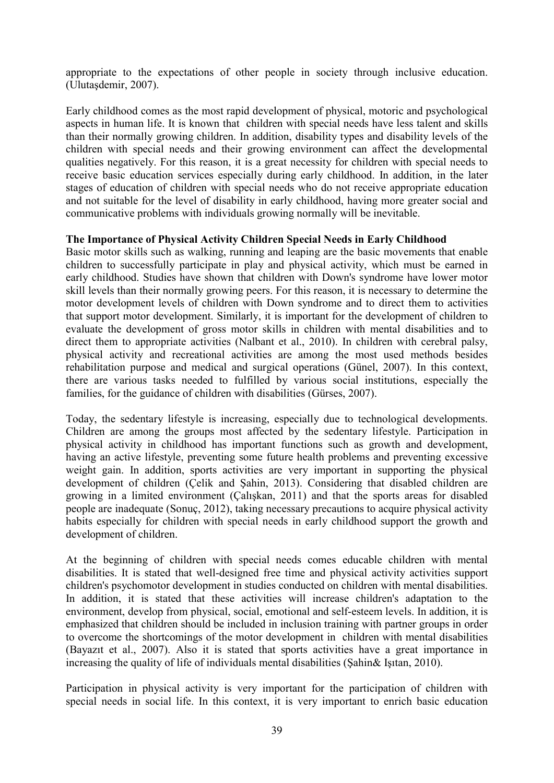appropriate to the expectations of other people in society through inclusive education. (Ulutaşdemir, 2007).

Early childhood comes as the most rapid development of physical, motoric and psychological aspects in human life. It is known that children with special needs have less talent and skills than their normally growing children. In addition, disability types and disability levels of the children with special needs and their growing environment can affect the developmental qualities negatively. For this reason, it is a great necessity for children with special needs to receive basic education services especially during early childhood. In addition, in the later stages of education of children with special needs who do not receive appropriate education and not suitable for the level of disability in early childhood, having more greater social and communicative problems with individuals growing normally will be inevitable.

## The Importance of Physical Activity Children Special Needs in Early Childhood

Basic motor skills such as walking, running and leaping are the basic movements that enable children to successfully participate in play and physical activity, which must be earned in early childhood. Studies have shown that children with Down's syndrome have lower motor skill levels than their normally growing peers. For this reason, it is necessary to determine the motor development levels of children with Down syndrome and to direct them to activities that support motor development. Similarly, it is important for the development of children to evaluate the development of gross motor skills in children with mental disabilities and to direct them to appropriate activities (Nalbant et al., 2010). In children with cerebral palsy, physical activity and recreational activities are among the most used methods besides rehabilitation purpose and medical and surgical operations (Günel, 2007). In this context, there are various tasks needed to fulfilled by various social institutions, especially the families, for the guidance of children with disabilities (Gürses, 2007).

Today, the sedentary lifestyle is increasing, especially due to technological developments. Children are among the groups most affected by the sedentary lifestyle. Participation in physical activity in childhood has important functions such as growth and development, having an active lifestyle, preventing some future health problems and preventing excessive weight gain. In addition, sports activities are very important in supporting the physical development of children (Çelik and Şahin, 2013). Considering that disabled children are growing in a limited environment (Çalışkan, 2011) and that the sports areas for disabled people are inadequate (Sonuç, 2012), taking necessary precautions to acquire physical activity habits especially for children with special needs in early childhood support the growth and development of children.

At the beginning of children with special needs comes educable children with mental disabilities. It is stated that well-designed free time and physical activity activities support children's psychomotor development in studies conducted on children with mental disabilities. In addition, it is stated that these activities will increase children's adaptation to the environment, develop from physical, social, emotional and self-esteem levels. In addition, it is emphasized that children should be included in inclusion training with partner groups in order to overcome the shortcomings of the motor development in children with mental disabilities (Bayazıt et al., 2007). Also it is stated that sports activities have a great importance in increasing the quality of life of individuals mental disabilities (Şahin& Işıtan, 2010).

Participation in physical activity is very important for the participation of children with special needs in social life. In this context, it is very important to enrich basic education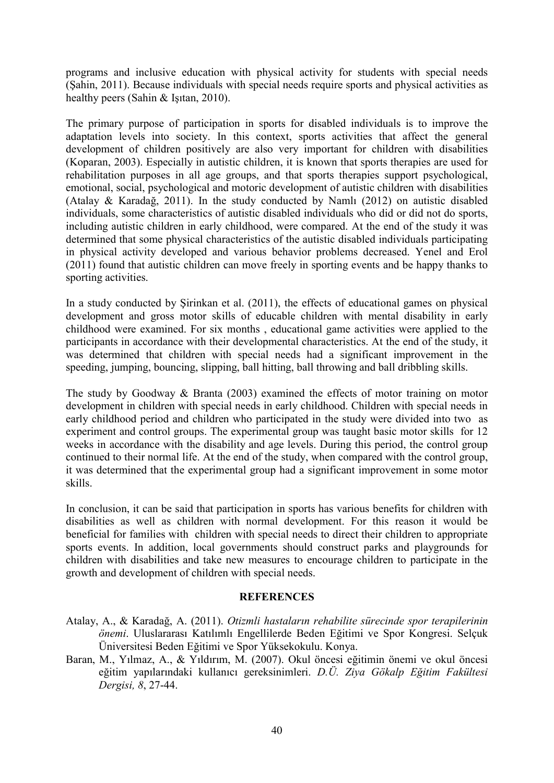programs and inclusive education with physical activity for students with special needs (Şahin, 2011). Because individuals with special needs require sports and physical activities as healthy peers (Sahin & Işıtan, 2010).

The primary purpose of participation in sports for disabled individuals is to improve the adaptation levels into society. In this context, sports activities that affect the general development of children positively are also very important for children with disabilities (Koparan, 2003). Especially in autistic children, it is known that sports therapies are used for rehabilitation purposes in all age groups, and that sports therapies support psychological, emotional, social, psychological and motoric development of autistic children with disabilities (Atalay & Karadağ, 2011). In the study conducted by Namlı (2012) on autistic disabled individuals, some characteristics of autistic disabled individuals who did or did not do sports, including autistic children in early childhood, were compared. At the end of the study it was determined that some physical characteristics of the autistic disabled individuals participating in physical activity developed and various behavior problems decreased. Yenel and Erol (2011) found that autistic children can move freely in sporting events and be happy thanks to sporting activities.

In a study conducted by Şirinkan et al. (2011), the effects of educational games on physical development and gross motor skills of educable children with mental disability in early childhood were examined. For six months , educational game activities were applied to the participants in accordance with their developmental characteristics. At the end of the study, it was determined that children with special needs had a significant improvement in the speeding, jumping, bouncing, slipping, ball hitting, ball throwing and ball dribbling skills.

The study by Goodway & Branta (2003) examined the effects of motor training on motor development in children with special needs in early childhood. Children with special needs in early childhood period and children who participated in the study were divided into two as experiment and control groups. The experimental group was taught basic motor skills for 12 weeks in accordance with the disability and age levels. During this period, the control group continued to their normal life. At the end of the study, when compared with the control group, it was determined that the experimental group had a significant improvement in some motor skills.

In conclusion, it can be said that participation in sports has various benefits for children with disabilities as well as children with normal development. For this reason it would be beneficial for families with children with special needs to direct their children to appropriate sports events. In addition, local governments should construct parks and playgrounds for children with disabilities and take new measures to encourage children to participate in the growth and development of children with special needs.

#### **REFERENCES**

- Atalay, A., & Karadağ, A. (2011). Otizmli hastaların rehabilite sürecinde spor terapilerinin önemi. Uluslararası Katılımlı Engellilerde Beden Eğitimi ve Spor Kongresi. Selçuk Üniversitesi Beden Eğitimi ve Spor Yüksekokulu. Konya.
- Baran, M., Yılmaz, A., & Yıldırım, M. (2007). Okul öncesi eğitimin önemi ve okul öncesi eğitim yapılarındaki kullanıcı gereksinimleri. D.Ü. Ziya Gökalp Eğitim Fakültesi Dergisi, 8, 27-44.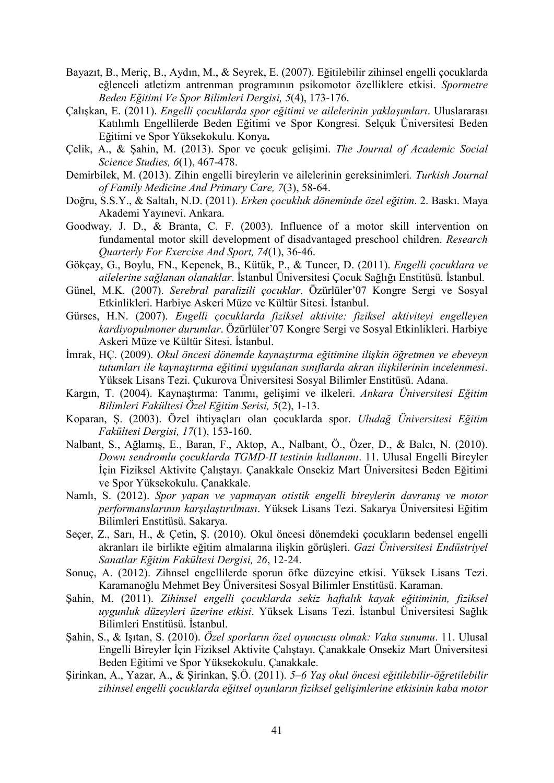- Bayazıt, B., Meriç, B., Aydın, M., & Seyrek, E. (2007). Eğitilebilir zihinsel engelli çocuklarda eğlenceli atletizm antrenman programının psikomotor özelliklere etkisi. Spormetre Beden Eğitimi Ve Spor Bilimleri Dergisi, 5(4), 173-176.
- Çalışkan, E. (2011). Engelli çocuklarda spor eğitimi ve ailelerinin yaklaşımları. Uluslararası Katılımlı Engellilerde Beden Eğitimi ve Spor Kongresi. Selçuk Üniversitesi Beden Eğitimi ve Spor Yüksekokulu. Konya.
- Çelik, A., & Şahin, M. (2013). Spor ve çocuk gelişimi. The Journal of Academic Social Science Studies, 6(1), 467-478.
- Demirbilek, M. (2013). Zihin engelli bireylerin ve ailelerinin gereksinimleri. Turkish Journal of Family Medicine And Primary Care, 7(3), 58-64.
- Doğru, S.S.Y., & Saltalı, N.D. (2011). Erken çocukluk döneminde özel eğitim. 2. Baskı. Maya Akademi Yayınevi. Ankara.
- Goodway, J. D., & Branta, C. F. (2003). Influence of a motor skill intervention on fundamental motor skill development of disadvantaged preschool children. Research Quarterly For Exercise And Sport, 74(1), 36-46.
- Gökçay, G., Boylu, FN., Kepenek, B., Kütük, P., & Tuncer, D. (2011). Engelli çocuklara ve ailelerine sağlanan olanaklar. İstanbul Üniversitesi Çocuk Sağlığı Enstitüsü. İstanbul.
- Günel, M.K. (2007). Serebral paralizili çocuklar. Özürlüler'07 Kongre Sergi ve Sosyal Etkinlikleri. Harbiye Askeri Müze ve Kültür Sitesi. İstanbul.
- Gürses, H.N. (2007). Engelli çocuklarda fiziksel aktivite: fiziksel aktiviteyi engelleyen kardiyopulmoner durumlar. Özürlüler'07 Kongre Sergi ve Sosyal Etkinlikleri. Harbiye Askeri Müze ve Kültür Sitesi. İstanbul.
- İmrak, HÇ. (2009). Okul öncesi dönemde kaynaştırma eğitimine ilişkin öğretmen ve ebeveyn tutumları ile kaynaştırma eğitimi uygulanan sınıflarda akran ilişkilerinin incelenmesi. Yüksek Lisans Tezi. Çukurova Üniversitesi Sosyal Bilimler Enstitüsü. Adana.
- Kargın, T. (2004). Kaynaştırma: Tanımı, gelişimi ve ilkeleri. Ankara Üniversitesi Eğitim Bilimleri Fakültesi Özel Eğitim Serisi, 5(2), 1-13.
- Koparan, Ş. (2003). Özel ihtiyaçları olan çocuklarda spor. Uludağ Üniversitesi Eğitim Fakültesi Dergisi, 17(1), 153-160.
- Nalbant, S., Ağlamış, E., Baran, F., Aktop, A., Nalbant, Ö., Özer, D., & Balcı, N. (2010). Down sendromlu çocuklarda TGMD-II testinin kullanımı. 11. Ulusal Engelli Bireyler İçin Fiziksel Aktivite Çalıştayı. Çanakkale Onsekiz Mart Üniversitesi Beden Eğitimi ve Spor Yüksekokulu. Çanakkale.
- Namlı, S. (2012). Spor yapan ve yapmayan otistik engelli bireylerin davranış ve motor performanslarının karşılaştırılması. Yüksek Lisans Tezi. Sakarya Üniversitesi Eğitim Bilimleri Enstitüsü. Sakarya.
- Seçer, Z., Sarı, H., & Çetin, Ş. (2010). Okul öncesi dönemdeki çocukların bedensel engelli akranları ile birlikte eğitim almalarına ilişkin görüşleri. Gazi Üniversitesi Endüstriyel Sanatlar Eğitim Fakültesi Dergisi, 26, 12-24.
- Sonuç, A. (2012). Zihnsel engellilerde sporun öfke düzeyine etkisi. Yüksek Lisans Tezi. Karamanoğlu Mehmet Bey Üniversitesi Sosyal Bilimler Enstitüsü. Karaman.
- Şahin, M. (2011). Zihinsel engelli çocuklarda sekiz haftalık kayak eğitiminin, fiziksel uygunluk düzeyleri üzerine etkisi. Yüksek Lisans Tezi. İstanbul Üniversitesi Sağlık Bilimleri Enstitüsü. İstanbul.
- Şahin, S., & Işıtan, S. (2010). Özel sporların özel oyuncusu olmak: Vaka sunumu. 11. Ulusal Engelli Bireyler İçin Fiziksel Aktivite Çalıştayı. Çanakkale Onsekiz Mart Üniversitesi Beden Eğitimi ve Spor Yüksekokulu. Çanakkale.
- Şirinkan, A., Yazar, A., & Şirinkan, Ş.Ö. (2011). 5–6 Yaş okul öncesi eğitilebilir-öğretilebilir zihinsel engelli çocuklarda eğitsel oyunların fiziksel gelişimlerine etkisinin kaba motor